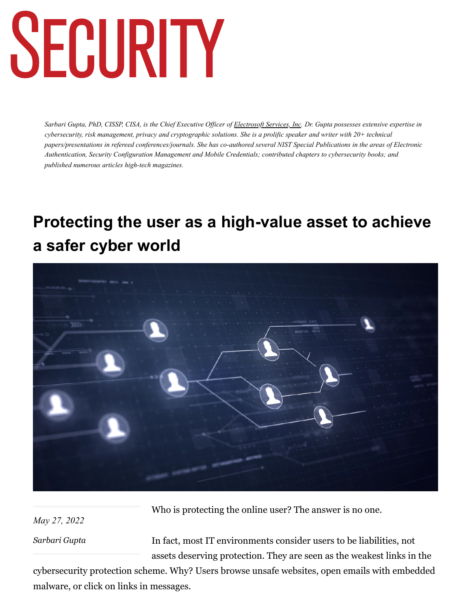# SECURITY

*Sarbari Gupta, PhD, CISSP, CISA, is the Chief Executive Officer of [Electrosoft Services, Inc.](https://www.electrosoft-inc.com/) Dr. Gupta possesses extensive expertise in cybersecurity, risk management, privacy and cryptographic solutions. She is a prolific speaker and writer with 20+ technical papers/presentations in refereed conferences/journals. She has co-authored several NIST Special Publications in the areas of Electronic Authentication, Security Configuration Management and Mobile Credentials; contributed chapters to cybersecurity books; and published numerous articles high-tech magazines.*

### **Protecting the user as a high-value asset to achieve a safer cyber world**



*May 27, 2022*

Who is protecting the online user? The answer is no one.

*[Sarbari Gupta](https://www.securitymagazine.com/authors/4016-sarbari-gupta)*

In fact, most IT environments consider users to be liabilities, not assets deserving protection. They are seen as the weakest links in the

cybersecurity protection scheme. Why? Users browse unsafe websites, open emails with embedded malware, or click on links in messages.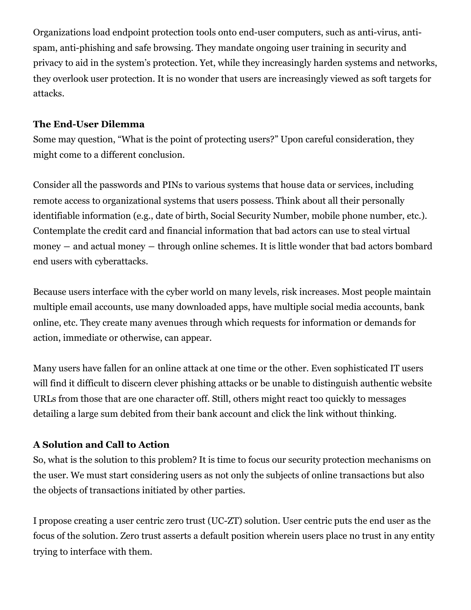Organizations load endpoint protection tools onto end-user computers, such as anti-virus, antispam, anti-phishing and safe browsing. They mandate ongoing user training in security and privacy to aid in the system's protection. Yet, while they increasingly harden systems and networks, they overlook user protection. It is no wonder that users are increasingly viewed as soft targets for attacks.

#### **The End-User Dilemma**

Some may question, "What is the point of protecting users?" Upon careful consideration, they might come to a different conclusion.

Consider all the passwords and PINs to various systems that house data or services, including remote access to organizational systems that users possess. Think about all their personally identifiable information (e.g., date of birth, Social Security Number, mobile phone number, etc.). Contemplate the credit card and financial information that bad actors can use to steal virtual money ― and actual money ― through online schemes. It is little wonder that bad actors bombard end users with cyberattacks.

Because users interface with the cyber world on many levels, risk increases. Most people maintain multiple email accounts, use many downloaded apps, have multiple social media accounts, bank online, etc. They create many avenues through which requests for information or demands for action, immediate or otherwise, can appear.

Many users have fallen for an online attack at one time or the other. Even sophisticated IT users will find it difficult to discern clever phishing attacks or be unable to distinguish authentic website URLs from those that are one character off. Still, others might react too quickly to messages detailing a large sum debited from their bank account and click the link without thinking.

#### **A Solution and Call to Action**

So, what is the solution to this problem? It is time to focus our security protection mechanisms on the user. We must start considering users as not only the subjects of online transactions but also the objects of transactions initiated by other parties.

I propose creating a user centric zero trust (UC-ZT) solution. User centric puts the end user as the focus of the solution. Zero trust asserts a default position wherein users place no trust in any entity trying to interface with them.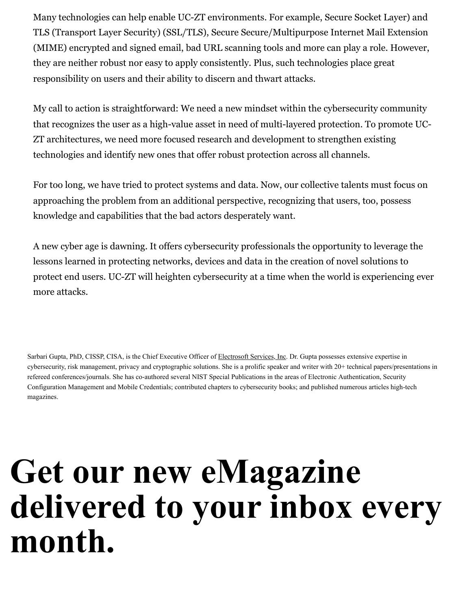Many technologies can help enable UC-ZT environments. For example, Secure Socket Layer) and TLS (Transport Layer Security) (SSL/TLS), Secure Secure/Multipurpose Internet Mail Extension (MIME) encrypted and signed email, bad URL scanning tools and more can play a role. However, they are neither robust nor easy to apply consistently. Plus, such technologies place great responsibility on users and their ability to discern and thwart attacks.

My call to action is straightforward: We need a new mindset within the cybersecurity community that recognizes the user as a high-value asset in need of multi-layered protection. To promote UC-ZT architectures, we need more focused research and development to strengthen existing technologies and identify new ones that offer robust protection across all channels.

For too long, we have tried to protect systems and data. Now, our collective talents must focus on approaching the problem from an additional perspective, recognizing that users, too, possess knowledge and capabilities that the bad actors desperately want.

A new cyber age is dawning. It offers cybersecurity professionals the opportunity to leverage the lessons learned in protecting networks, devices and data in the creation of novel solutions to protect end users. UC-ZT will heighten cybersecurity at a time when the world is experiencing ever more attacks.

Sarbari Gupta, PhD, CISSP, CISA, is the Chief Executive Officer of [Electrosoft Services, Inc](https://www.electrosoft-inc.com/). Dr. Gupta possesses extensive expertise in cybersecurity, risk management, privacy and cryptographic solutions. She is a prolific speaker and writer with 20+ technical papers/presentations in refereed conferences/journals. She has co-authored several NIST Special Publications in the areas of Electronic Authentication, Security Configuration Management and Mobile Credentials; contributed chapters to cybersecurity books; and published numerous articles high-tech magazines.

# **Get our new eMagazine delivered to your inbox every month.**